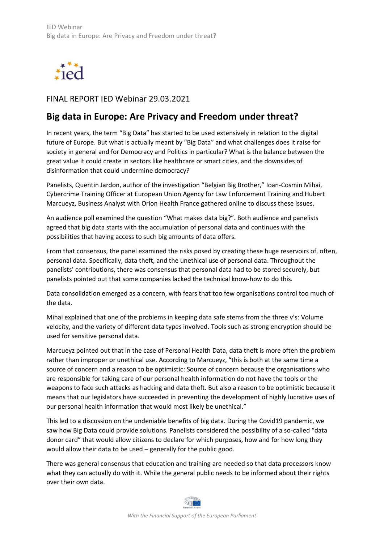

FINAL REPORT IED Webinar 29.03.2021

## **Big data in Europe: Are Privacy and Freedom under threat?**

In recent years, the term "Big Data" has started to be used extensively in relation to the digital future of Europe. But what is actually meant by "Big Data" and what challenges does it raise for society in general and for Democracy and Politics in particular? What is the balance between the great value it could create in sectors like healthcare or smart cities, and the downsides of disinformation that could undermine democracy?

Panelists, Quentin Jardon, author of the investigation "Belgian Big Brother," Ioan-Cosmin Mihai, Cybercrime Training Officer at European Union Agency for Law Enforcement Training and Hubert Marcueyz, Business Analyst with Orion Health France gathered online to discuss these issues.

An audience poll examined the question "What makes data big?". Both audience and panelists agreed that big data starts with the accumulation of personal data and continues with the possibilities that having access to such big amounts of data offers.

From that consensus, the panel examined the risks posed by creating these huge reservoirs of, often, personal data. Specifically, data theft, and the unethical use of personal data. Throughout the panelists' contributions, there was consensus that personal data had to be stored securely, but panelists pointed out that some companies lacked the technical know-how to do this.

Data consolidation emerged as a concern, with fears that too few organisations control too much of the data.

Mihai explained that one of the problems in keeping data safe stems from the three v's: Volume velocity, and the variety of different data types involved. Tools such as strong encryption should be used for sensitive personal data.

Marcueyz pointed out that in the case of Personal Health Data, data theft is more often the problem rather than improper or unethical use. According to Marcueyz, "this is both at the same time a source of concern and a reason to be optimistic: Source of concern because the organisations who are responsible for taking care of our personal health information do not have the tools or the weapons to face such attacks as hacking and data theft. But also a reason to be optimistic because it means that our legislators have succeeded in preventing the development of highly lucrative uses of our personal health information that would most likely be unethical."

This led to a discussion on the undeniable benefits of big data. During the Covid19 pandemic, we saw how Big Data could provide solutions. Panelists considered the possibility of a so-called "data donor card" that would allow citizens to declare for which purposes, how and for how long they would allow their data to be used – generally for the public good.

There was general consensus that education and training are needed so that data processors know what they can actually do with it. While the general public needs to be informed about their rights over their own data.